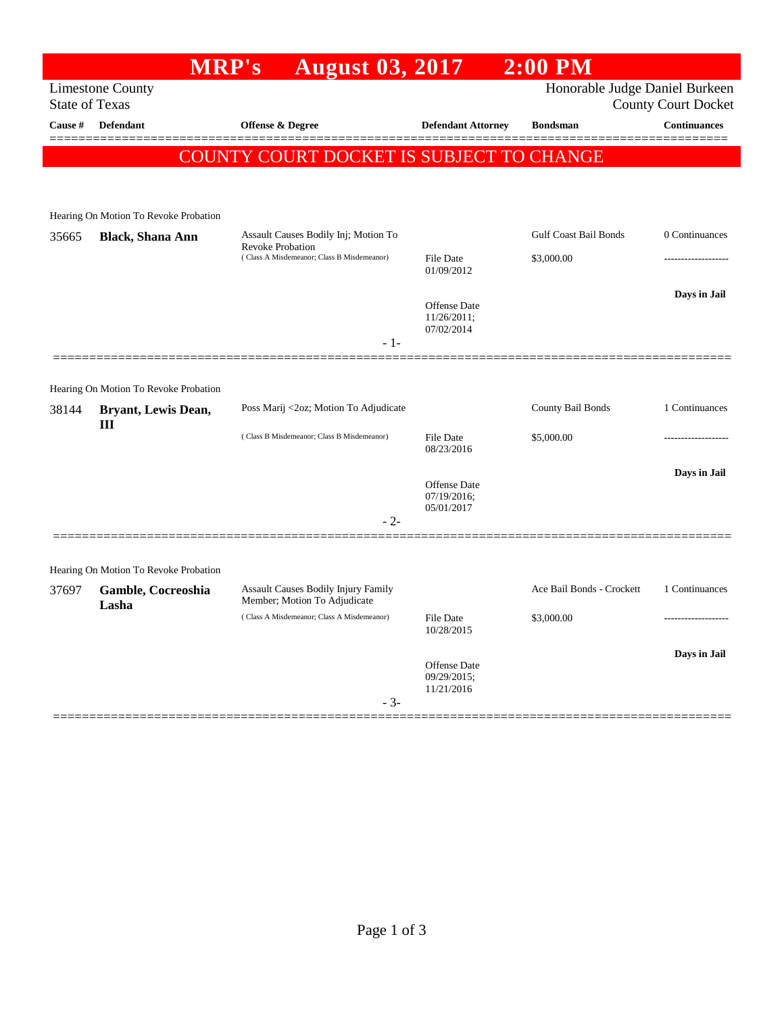|                                                           |                                       | MRP's<br><b>August 03, 2017</b>                                     |                                | $2:00$ PM                    |                     |  |  |
|-----------------------------------------------------------|---------------------------------------|---------------------------------------------------------------------|--------------------------------|------------------------------|---------------------|--|--|
| Honorable Judge Daniel Burkeen<br><b>Limestone County</b> |                                       |                                                                     |                                |                              |                     |  |  |
| <b>State of Texas</b><br><b>County Court Docket</b>       |                                       |                                                                     |                                |                              |                     |  |  |
| Cause #                                                   | Defendant                             | <b>Offense &amp; Degree</b>                                         | <b>Defendant Attorney</b>      | <b>Bondsman</b>              | <b>Continuances</b> |  |  |
|                                                           |                                       | COUNTY COURT DOCKET IS SUBJECT TO CHANGE                            |                                |                              |                     |  |  |
|                                                           |                                       |                                                                     |                                |                              |                     |  |  |
|                                                           |                                       |                                                                     |                                |                              |                     |  |  |
|                                                           | Hearing On Motion To Revoke Probation |                                                                     |                                |                              |                     |  |  |
| 35665                                                     | <b>Black, Shana Ann</b>               | Assault Causes Bodily Inj; Motion To<br><b>Revoke Probation</b>     |                                | <b>Gulf Coast Bail Bonds</b> | 0 Continuances      |  |  |
|                                                           |                                       | (Class A Misdemeanor; Class B Misdemeanor)                          | <b>File Date</b><br>01/09/2012 | \$3,000.00                   |                     |  |  |
|                                                           |                                       |                                                                     |                                |                              | Days in Jail        |  |  |
|                                                           |                                       |                                                                     | Offense Date<br>$11/26/2011$ ; |                              |                     |  |  |
|                                                           |                                       |                                                                     | 07/02/2014                     |                              |                     |  |  |
|                                                           |                                       | - 1-                                                                |                                |                              |                     |  |  |
|                                                           |                                       |                                                                     |                                |                              |                     |  |  |
|                                                           | Hearing On Motion To Revoke Probation |                                                                     |                                |                              |                     |  |  |
| 38144                                                     | Bryant, Lewis Dean,<br>Ш              | Poss Marij <2oz; Motion To Adjudicate                               |                                | County Bail Bonds            | 1 Continuances      |  |  |
|                                                           |                                       | (Class B Misdemeanor; Class B Misdemeanor)                          | File Date<br>08/23/2016        | \$5,000.00                   |                     |  |  |
|                                                           |                                       |                                                                     |                                |                              |                     |  |  |
|                                                           |                                       |                                                                     | Offense Date                   |                              | Days in Jail        |  |  |
|                                                           |                                       |                                                                     | 07/19/2016;<br>05/01/2017      |                              |                     |  |  |
|                                                           |                                       | $-2-$                                                               |                                |                              |                     |  |  |
|                                                           |                                       |                                                                     |                                |                              |                     |  |  |
|                                                           | Hearing On Motion To Revoke Probation |                                                                     |                                |                              |                     |  |  |
| 37697                                                     | Gamble, Cocreoshia                    | Assault Causes Bodily Injury Family<br>Member; Motion To Adjudicate |                                | Ace Bail Bonds - Crockett    | 1 Continuances      |  |  |
|                                                           | Lasha                                 | (Class A Misdemeanor; Class A Misdemeanor)                          | <b>File Date</b>               | \$3,000.00                   |                     |  |  |
|                                                           |                                       |                                                                     | 10/28/2015                     |                              |                     |  |  |
|                                                           |                                       |                                                                     |                                |                              | Days in Jail        |  |  |
|                                                           |                                       |                                                                     | Offense Date<br>09/29/2015;    |                              |                     |  |  |
|                                                           |                                       | $-3-$                                                               | 11/21/2016                     |                              |                     |  |  |
|                                                           |                                       |                                                                     |                                |                              |                     |  |  |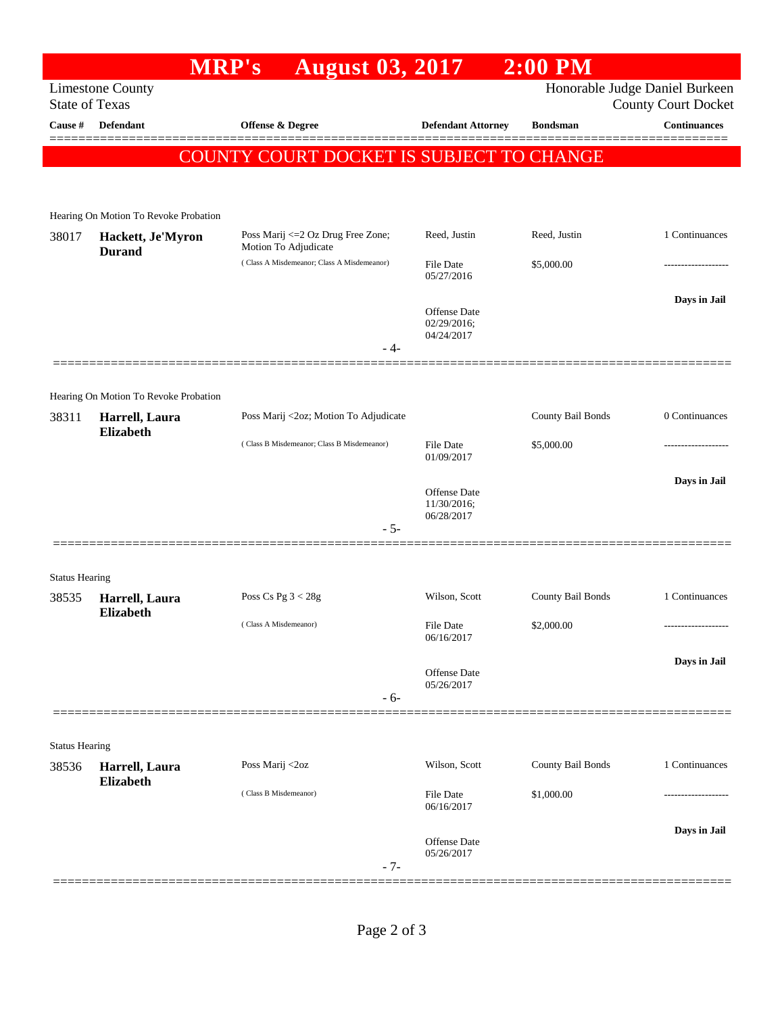|                       |                                                  | <b>MRP's</b><br><b>August 03, 2017</b>                     |                            | $2:00$ PM         |                                                              |
|-----------------------|--------------------------------------------------|------------------------------------------------------------|----------------------------|-------------------|--------------------------------------------------------------|
|                       | <b>Limestone County</b><br><b>State of Texas</b> |                                                            |                            |                   | Honorable Judge Daniel Burkeen<br><b>County Court Docket</b> |
| Cause #               | <b>Defendant</b>                                 | Offense & Degree                                           | <b>Defendant Attorney</b>  | <b>Bondsman</b>   | <b>Continuances</b>                                          |
|                       |                                                  | COUNTY COURT DOCKET IS SUBJECT TO CHANGE                   |                            |                   | =======                                                      |
|                       |                                                  |                                                            |                            |                   |                                                              |
|                       | Hearing On Motion To Revoke Probation            |                                                            |                            |                   |                                                              |
| 38017                 | Hackett, Je'Myron<br><b>Durand</b>               | Poss Marij <= 2 Oz Drug Free Zone;<br>Motion To Adjudicate | Reed, Justin               | Reed, Justin      | 1 Continuances                                               |
|                       |                                                  | (Class A Misdemeanor; Class A Misdemeanor)                 | File Date<br>05/27/2016    | \$5,000.00        |                                                              |
|                       |                                                  |                                                            | Offense Date               |                   | Days in Jail                                                 |
|                       |                                                  |                                                            | 02/29/2016;<br>04/24/2017  |                   |                                                              |
|                       |                                                  | - 4-                                                       |                            |                   |                                                              |
|                       | Hearing On Motion To Revoke Probation            |                                                            |                            |                   |                                                              |
| 38311                 | Harrell, Laura                                   | Poss Marij <2oz; Motion To Adjudicate                      |                            | County Bail Bonds | 0 Continuances                                               |
|                       | <b>Elizabeth</b>                                 | (Class B Misdemeanor; Class B Misdemeanor)                 | File Date<br>01/09/2017    | \$5,000.00        |                                                              |
|                       |                                                  |                                                            | <b>Offense Date</b>        |                   | Days in Jail                                                 |
|                       |                                                  |                                                            | 11/30/2016;<br>06/28/2017  |                   |                                                              |
|                       |                                                  | $-5-$                                                      |                            |                   |                                                              |
| <b>Status Hearing</b> |                                                  |                                                            |                            |                   |                                                              |
| 38535                 | Harrell, Laura                                   | Poss Cs Pg $3 < 28g$                                       | Wilson, Scott              | County Bail Bonds | 1 Continuances                                               |
|                       | <b>Elizabeth</b>                                 | (Class A Misdemeanor)                                      | File Date<br>06/16/2017    | \$2,000.00        | ------------------                                           |
|                       |                                                  |                                                            |                            |                   | Days in Jail                                                 |
|                       |                                                  |                                                            | Offense Date<br>05/26/2017 |                   |                                                              |
|                       |                                                  | $-6-$                                                      |                            |                   |                                                              |
| <b>Status Hearing</b> |                                                  |                                                            |                            |                   |                                                              |
| 38536                 | Harrell, Laura                                   | Poss Marij <2oz                                            | Wilson, Scott              | County Bail Bonds | 1 Continuances                                               |
|                       | Elizabeth                                        | (Class B Misdemeanor)                                      | File Date<br>06/16/2017    | \$1,000.00        | ------------------                                           |
|                       |                                                  |                                                            |                            |                   | Days in Jail                                                 |
|                       |                                                  |                                                            | Offense Date<br>05/26/2017 |                   |                                                              |
|                       |                                                  | $-7-$                                                      |                            |                   |                                                              |